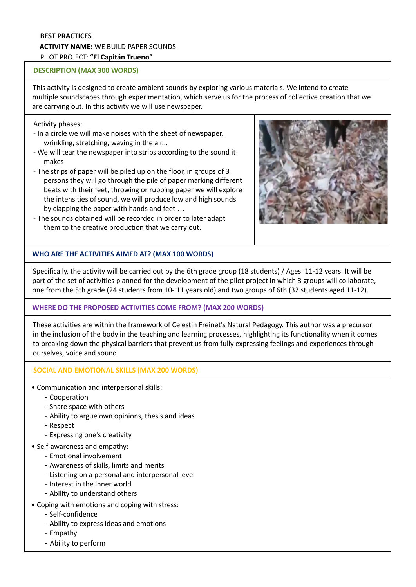### **BEST PRACTICES ACTIVITY NAME:** WE BUILD PAPER SOUNDS PILOT PROJECT: **"El Capitán Trueno"**

### **DESCRIPTION (MAX 300 WORDS)**

This activity is designed to create ambient sounds by exploring various materials. We intend to create multiple soundscapes through experimentation, which serve us for the process of collective creation that we are carrying out. In this activity we will use newspaper.

### Activity phases:

- In a circle we will make noises with the sheet of newspaper, wrinkling, stretching, waving in the air...
- We will tear the newspaper into strips according to the sound it makes
- The strips of paper will be piled up on the floor, in groups of 3 persons they will go through the pile of paper marking different beats with their feet, throwing or rubbing paper we will explore the intensities of sound, we will produce low and high sounds by clapping the paper with hands and feet …
- The sounds obtained will be recorded in order to later adapt them to the creative production that we carry out.



# **WHO ARE THE ACTIVITIES AIMED AT? (MAX 100 WORDS)**

Specifically, the activity will be carried out by the 6th grade group (18 students) / Ages: 11-12 years. It will be part of the set of activities planned for the development of the pilot project in which 3 groups will collaborate, one from the 5th grade (24 students from 10- 11 years old) and two groups of 6th (32 students aged 11-12).

# **WHERE DO THE PROPOSED ACTIVITIES COME FROM? (MAX 200 WORDS)**

These activities are within the framework of Celestin Freinet's Natural Pedagogy. This author was a precursor in the inclusion of the body in the teaching and learning processes, highlighting its functionality when it comes to breaking down the physical barriers that prevent us from fully expressing feelings and experiences through ourselves, voice and sound.

### **SOCIAL AND EMOTIONAL SKILLS (MAX 200 WORDS)**

- Communication and interpersonal skills:
	- Cooperation
	- Share space with others
	- Ability to argue own opinions, thesis and ideas
	- Respect
	- Expressing one's creativity
- Self-awareness and empathy:
	- Emotional involvement
	- Awareness of skills, limits and merits
	- Listening on a personal and interpersonal level
	- Interest in the inner world
	- Ability to understand others
- Coping with emotions and coping with stress:
	- Self-confidence
	- Ability to express ideas and emotions
	- Empathy
	- Ability to perform